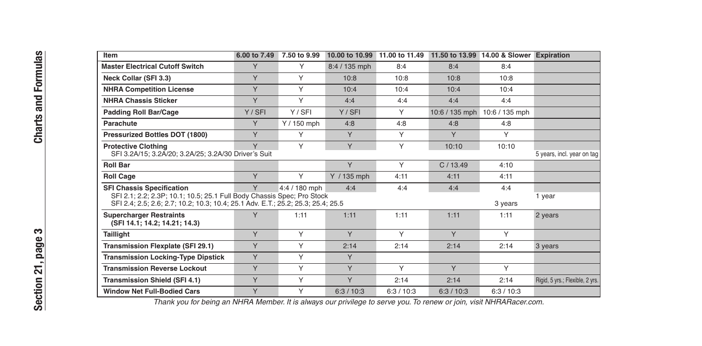|                                       | Item                                                                                                                                                                                                                                                        | 6.00 to 7.49 | 7.50 to 9.99 |               |            |                | 10.00 to 10.99 11.00 to 11.49 11.50 to 13.99 14.00 & Slower Expiration |                                 |
|---------------------------------------|-------------------------------------------------------------------------------------------------------------------------------------------------------------------------------------------------------------------------------------------------------------|--------------|--------------|---------------|------------|----------------|------------------------------------------------------------------------|---------------------------------|
| Formulas                              | <b>Master Electrical Cutoff Switch</b>                                                                                                                                                                                                                      | Y            | Υ            | 8:4 / 135 mph | 8:4        | 8:4            | 8:4                                                                    |                                 |
|                                       | Neck Collar (SFI 3.3)                                                                                                                                                                                                                                       | Y            | Υ            | 10:8          | 10:8       | 10:8           | 10:8                                                                   |                                 |
|                                       | <b>NHRA Competition License</b>                                                                                                                                                                                                                             | Y            | Υ            | 10:4          | 10:4       | 10:4           | 10:4                                                                   |                                 |
| and                                   | <b>NHRA Chassis Sticker</b>                                                                                                                                                                                                                                 | Y            | Υ            | 4:4           | 4:4        | 4:4            | 4:4                                                                    |                                 |
|                                       | Padding Roll Bar/Cage                                                                                                                                                                                                                                       | Y / SFI      | Y/SFI        | Y/SFI         | Υ          | 10:6 / 135 mph | 10:6 / 135 mph                                                         |                                 |
| Charts                                | Parachute                                                                                                                                                                                                                                                   | Y            | $Y/150$ mph  | 4:8           | 4:8        | 4:8            | 4:8                                                                    |                                 |
|                                       | Pressurized Bottles DOT (1800)                                                                                                                                                                                                                              | Y            | Υ            | Y             | Y          | Y              | Y                                                                      |                                 |
|                                       | <b>Protective Clothing</b><br>SFI 3.2A/15; 3.2A/20; 3.2A/25; 3.2A/30 Driver's Suit                                                                                                                                                                          | Y            | Υ            | $\vee$        | Y          | 10:10          | 10:10                                                                  | 5 years, incl. year on tag      |
|                                       | <b>Roll Bar</b>                                                                                                                                                                                                                                             |              |              | Y             | Y          | C/13.49        | 4:10                                                                   |                                 |
|                                       | <b>Roll Cage</b>                                                                                                                                                                                                                                            | Y            | Y            | Y / 135 mph   | 4:11       | 4:11           | 4:11                                                                   |                                 |
|                                       | <b>SFI Chassis Specification</b><br>Y<br>4:4<br>4:4<br>4:4<br>4:4 / 180 mph<br>4:4<br>SFI 2.1; 2.2; 2.3P; 10.1; 10.5; 25.1 Full Body Chassis Spec; Pro Stock<br>SFI 2.4; 2.5; 2.6; 2.7; 10.2; 10.3; 10.4; 25.1 Adv. E.T.; 25.2; 25.3; 25.4; 25.5<br>3 years |              |              |               |            |                |                                                                        | 1 year                          |
|                                       | <b>Supercharger Restraints</b><br>(SFI 14.1; 14.2; 14.21; 14.3)                                                                                                                                                                                             | Y            | 1:11         | 1:11          | 1:11       | 1:11           | 1:11                                                                   | 2 years                         |
| ∾<br>page<br>$\blacksquare$<br>↽<br>Ń | Taillight                                                                                                                                                                                                                                                   | Y            | Υ            | Y             | Y          | Y              | Y                                                                      |                                 |
|                                       | Transmission Flexplate (SFI 29.1)                                                                                                                                                                                                                           | Y            | Y            | 2:14          | 2:14       | 2:14           | 2:14                                                                   | 3 years                         |
|                                       | <b>Transmission Locking-Type Dipstick</b>                                                                                                                                                                                                                   | Y            | Y            | Y             |            |                |                                                                        |                                 |
|                                       | <b>Transmission Reverse Lockout</b>                                                                                                                                                                                                                         | Y            | Υ            | Y             | Y          | Y              | Y                                                                      |                                 |
|                                       | <b>Transmission Shield (SFI 4.1)</b>                                                                                                                                                                                                                        | Y            | Y            | Y             | 2:14       | 2:14           | 2:14                                                                   | Rigid, 5 yrs.; Flexible, 2 yrs. |
| tion                                  | <b>Window Net Full-Bodied Cars</b>                                                                                                                                                                                                                          | Y            | Υ            | 6:3/10:3      | 6:3 / 10:3 | 6:3/10:3       | 6:3/10:3                                                               |                                 |

Thank you for being an NHRA Member. It is always our privilege to serve you. To renew or join, visit NHRARacer.com.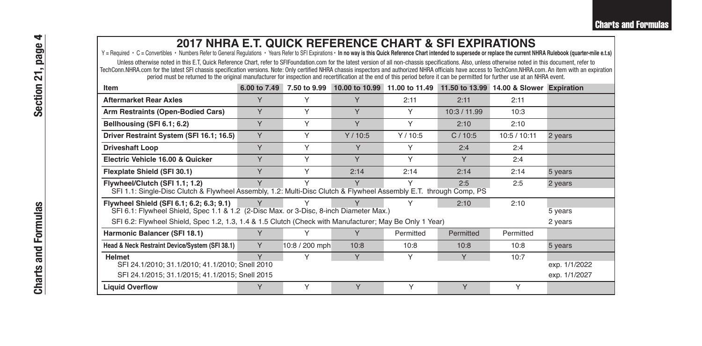## **2017 NHRA E.T. QUICK REFERENCE CHART & SFI EXPIRATIONS**

Y = Required · C = Convertibles · Numbers Refer to General Regulations · Years Refer to SFI Expirations · In no way is this Quick Reference Chart intended to supersede or replace the current NHRA Rulebook (quarter-mile e.t

Unless otherwise noted in this E.T, Quick Reference Chart, refer to SFlFoundation.com for the latest version of all non-chassis specifications. Also, unless otherwise noted in this document, refer to TechConn.NHRA.com for the latest SFI chassis specification versions. Note: Only certified NHRA chassis inspectors and authorized NHRA officials have access to TechConn.NHRA.com.An item with an expiration period must be returned to the original manufacturer for inspection and recertification at the end of this period before it can be permitted for further use at an NHRA event.

| Item                                                                                                                                                                                             | 6.00 to 7.49 | 7.50 to 9.99   | 10.00 to 10.99 | 11.00 to 11.49 | 11.50 to 13.99 | 14.00 & Slower Expiration |               |
|--------------------------------------------------------------------------------------------------------------------------------------------------------------------------------------------------|--------------|----------------|----------------|----------------|----------------|---------------------------|---------------|
| Aftermarket Rear Axles                                                                                                                                                                           | Y            | Υ              | Y              | 2:11           | 2:11           | 2:11                      |               |
| Arm Restraints (Open-Bodied Cars)                                                                                                                                                                | Y            | Υ              | Y              | Υ              | 10:3 / 11.99   | 10:3                      |               |
| Bellhousing (SFI 6.1; 6.2)                                                                                                                                                                       | Y            | Υ              | Y              | Υ              | 2:10           | 2:10                      |               |
| Driver Restraint System (SFI 16.1; 16.5)                                                                                                                                                         | Y            | Υ              | Y/10:5         | Y/10:5         | C/10:5         | 10:5 / 10:11              | 2 years       |
| Driveshaft Loop                                                                                                                                                                                  | Y            | Y              | Y              | Υ              | 2:4            | 2:4                       |               |
| Electric Vehicle 16.00 & Quicker                                                                                                                                                                 | Y            | Y              | Y              | Y              | Y              | 2:4                       |               |
| Flexplate Shield (SFI 30.1)                                                                                                                                                                      | Y            | Y              | 2:14           | 2:14           | 2:14           | 2:14                      | 5 years       |
| Υ<br>Flywheel/Clutch (SFI 1.1: 1.2)<br>Y<br>Υ<br>v<br>2:5<br>2:5<br>2 years<br>SFI 1.1: Single-Disc Clutch & Flywheel Assembly, 1.2: Multi-Disc Clutch & Flywheel Assembly E.T. through Comp, PS |              |                |                |                |                |                           |               |
| Flywheel Shield (SFI 6.1; 6.2; 6.3; 9.1)<br>SFI 6.1: Flywheel Shield, Spec 1.1 & 1.2 (2-Disc Max. or 3-Disc, 8-inch Diameter Max.)                                                               |              |                | Υ              | Υ              | 2:10           | 2:10                      | 5 years       |
| SFI 6.2: Flywheel Shield, Spec 1.2, 1.3, 1.4 & 1.5 Clutch (Check with Manufacturer; May Be Only 1 Year)<br>2 years                                                                               |              |                |                |                |                |                           |               |
| Harmonic Balancer (SFI 18.1)                                                                                                                                                                     |              | Υ              | Y              | Permitted      | Permitted      | Permitted                 |               |
| Head & Neck Restraint Device/System (SFI 38.1)                                                                                                                                                   | Y            | 10:8 / 200 mph | 10:8           | 10:8           | 10:8           | 10:8                      | 5 years       |
| <b>Helmet</b><br>SFI 24.1/2010; 31.1/2010; 41.1/2010; Snell 2010                                                                                                                                 | $\vee$       | Υ              | $\vee$         | Y              | $\vee$         | 10:7                      | exp. 1/1/2022 |
| SFI 24.1/2015; 31.1/2015; 41.1/2015; Snell 2015                                                                                                                                                  |              |                |                |                | exp. 1/1/2027  |                           |               |
| <b>Liquid Overflow</b>                                                                                                                                                                           |              | Υ              | Y              | Υ              | Y              | Υ                         |               |